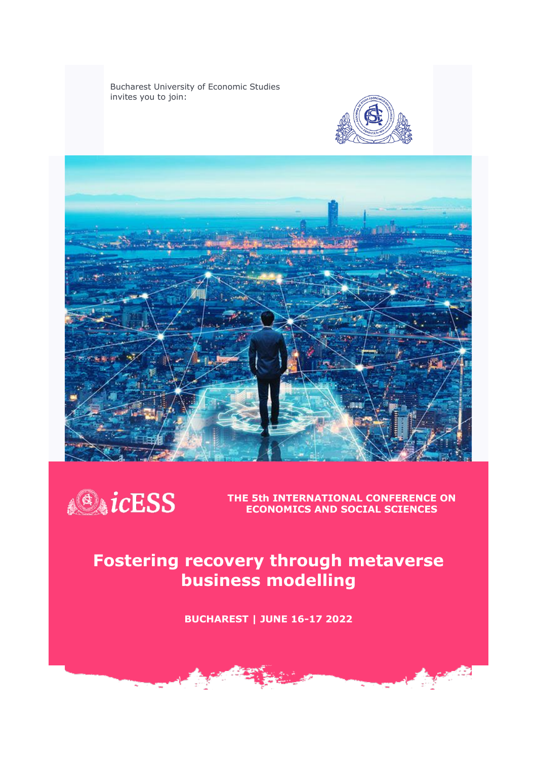Bucharest University of Economic Studies invites you to join:







**THE 5th INTERNATIONAL CONFERENCE ON ECONOMICS AND SOCIAL SCIENCES**

a<mark>dir</mark>.

# **Fostering recovery through metaverse business modelling**

**BUCHAREST | JUNE 16-17 2022**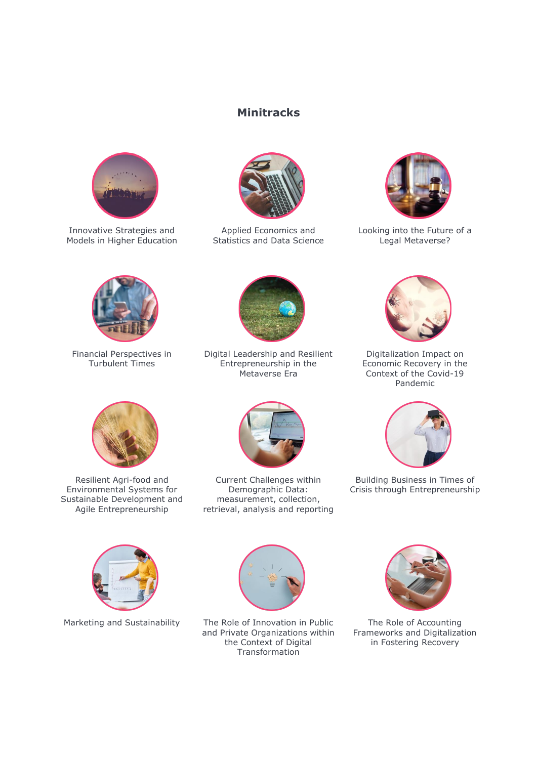## **Minitracks**



Innovative Strategies and Models in Higher Education



Applied Economics and Statistics and Data Science



Looking into the Future of a Legal Metaverse?



Financial Perspectives in Turbulent Times



Digital Leadership and Resilient Entrepreneurship in the Metaverse Era



Digitalization Impact on Economic Recovery in the Context of the Covid-19 Pandemic



Resilient Agri-food and Environmental Systems for Sustainable Development and Agile Entrepreneurship



Current Challenges within Demographic Data: measurement, collection, retrieval, analysis and reporting



Building Business in Times of Crisis through Entrepreneurship





Marketing and Sustainability The Role of Innovation in Public and Private Organizations within the Context of Digital Transformation



The Role of Accounting Frameworks and Digitalization in Fostering Recovery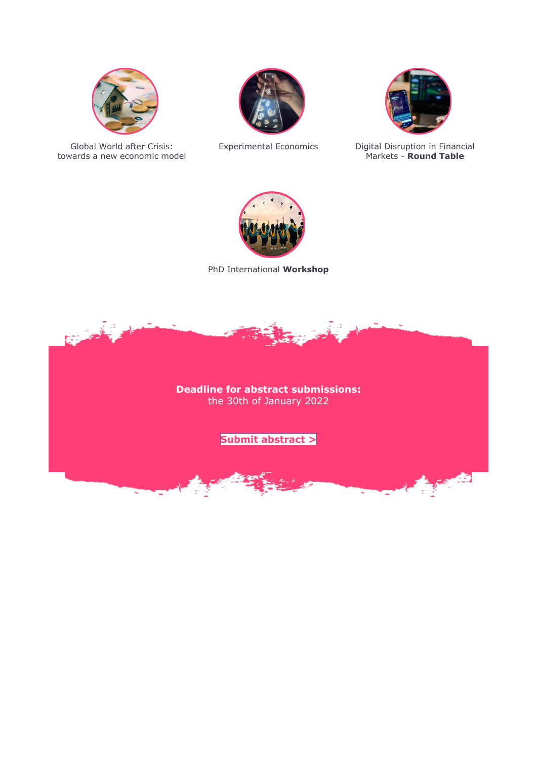

Global World after Crisis: towards a new economic model

ï,





Experimental Economics Digital Disruption in Financial Markets - **Round Table**

**Agents** 



PhD International **Workshop**



**Submit [abstract](https://forms.gle/gmCxpSPES8hDxqau5) >**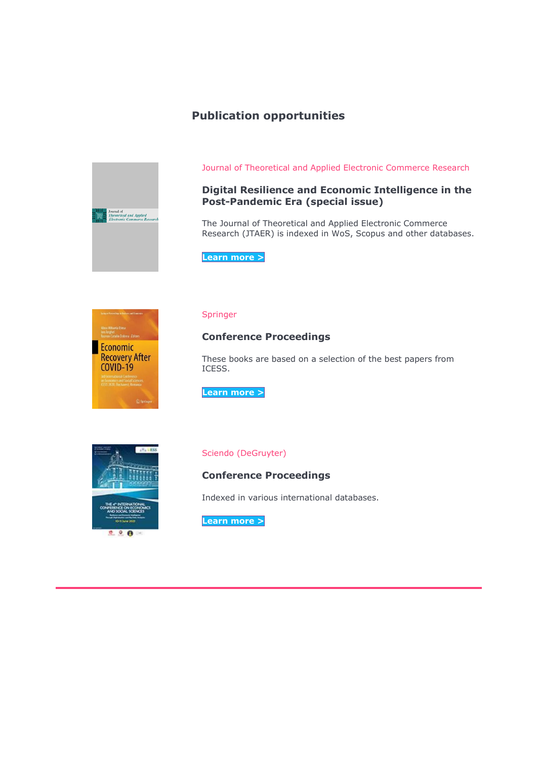# **Publication opportunities**



Journal of Theoretical and Applied Electronic Commerce Research

## **Digital Resilience and Economic Intelligence in the Post-Pandemic Era (special issue)**

The Journal of Theoretical and Applied Electronic Commerce Research (JTAER) is indexed in WoS, Scopus and other databases.

**[Learn](https://www.mdpi.com/journal/jtaer/special_issues/Digital_Resilience) more >**



#### Springer

### **Conference Proceedings**

These books are based on a selection of the best papers from ICESS.

**[Learn](https://link.springer.com/book/10.1007/978-3-030-86641-9) more >**



#### Sciendo (DeGruyter)

**Conference Proceedings**

Indexed in various international databases.